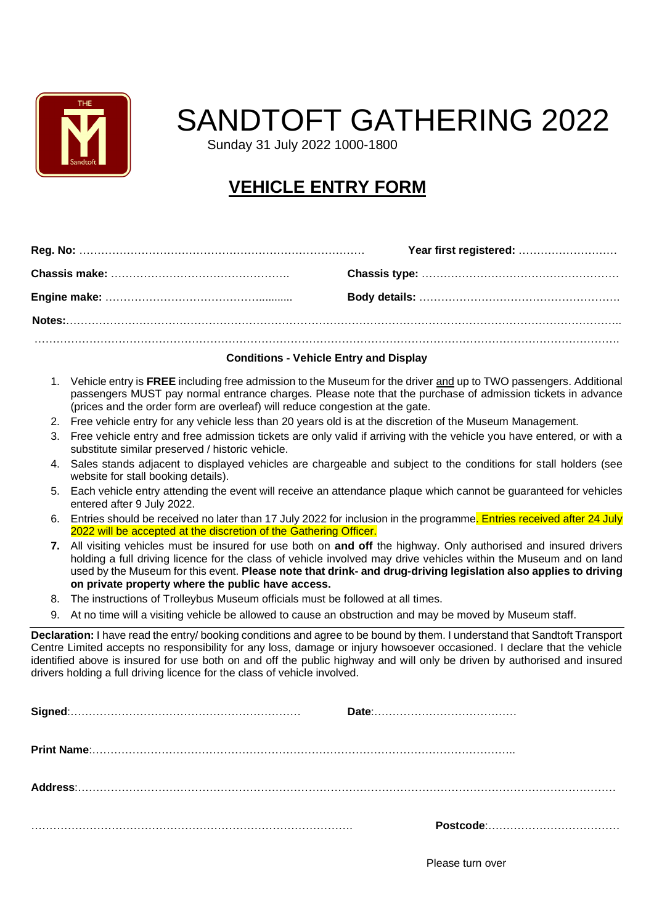

## SANDTOFT GATHERING 2022

Sunday 31 July 2022 1000-1800

## **VEHICLE ENTRY FORM**

#### **Conditions - Vehicle Entry and Display**

- 1. Vehicle entry is **FREE** including free admission to the Museum for the driver and up to TWO passengers. Additional passengers MUST pay normal entrance charges. Please note that the purchase of admission tickets in advance (prices and the order form are overleaf) will reduce congestion at the gate.
- 2. Free vehicle entry for any vehicle less than 20 years old is at the discretion of the Museum Management.
- 3. Free vehicle entry and free admission tickets are only valid if arriving with the vehicle you have entered, or with a substitute similar preserved / historic vehicle.
- 4. Sales stands adjacent to displayed vehicles are chargeable and subject to the conditions for stall holders (see website for stall booking details).
- 5. Each vehicle entry attending the event will receive an attendance plaque which cannot be guaranteed for vehicles entered after 9 July 2022.
- 6. Entries should be received no later than 17 July 2022 for inclusion in the programme. Entries received after 24 July 2022 will be accepted at the discretion of the Gathering Officer.
- **7.** All visiting vehicles must be insured for use both on **and off** the highway. Only authorised and insured drivers holding a full driving licence for the class of vehicle involved may drive vehicles within the Museum and on land used by the Museum for this event. **Please note that drink- and drug-driving legislation also applies to driving on private property where the public have access.**
- 8. The instructions of Trolleybus Museum officials must be followed at all times.
- 9. At no time will a visiting vehicle be allowed to cause an obstruction and may be moved by Museum staff.

**Declaration:** I have read the entry/ booking conditions and agree to be bound by them. I understand that Sandtoft Transport Centre Limited accepts no responsibility for any loss, damage or injury howsoever occasioned. I declare that the vehicle identified above is insured for use both on and off the public highway and will only be driven by authorised and insured drivers holding a full driving licence for the class of vehicle involved.

Please turn over